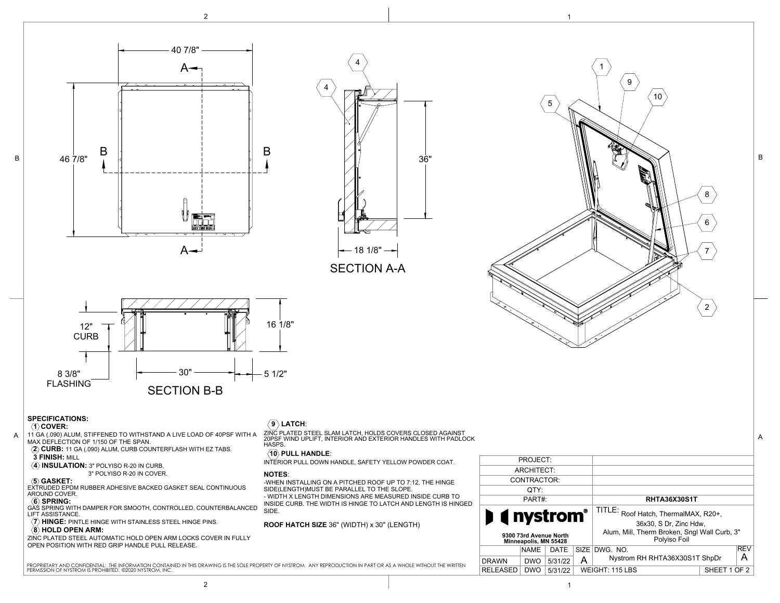







## **SPECIFICATIONS:**

 **3 FINISH:** MILL

AROUND COVER.

#### **1 COVER:**

B

11 GA (.090) ALUM, STIFFENED TO WITHSTAND A LIVE LOAD OF 40PSF WITH A MAX DEFLECTION OF 1/150 OF THE SPAN. **2 CURB:** 11 GA (.090) ALUM, CURB COUNTERFLASH WITH EZ TABS. ZINC PLATED STEEL SLAM LATCH, HOLDS COVERS CLOSED AGAINST 20PSF WIND UPLIFT, INTERIOR AND EXTERIOR HANDLES WITH PADLOCK A A

# $\langle 9 \rangle$  LATCH:





1

9

B

HASPS.

## **10 PULL HANDLE**:

INTERIOR PULL DOWN HANDLE, SAFETY YELLOW POWDER COAT.

#### **NOTES**:

-WHEN INSTALLING ON A PITCHED ROOF UP TO 7:12, THE HINGE SIDE(LENGTH)MUST BE PARALLEL TO THE SLOPE. - WIDTH X LENGTH DIMENSIONS ARE MEASURED INSIDE CURB TO

INSIDE CURB. THE WIDTH IS HINGE TO LATCH AND LENGTH IS HINGED SIDE.

**ROOF HATCH SIZE** 36" (WIDTH) x 30" (LENGTH)

| PROJECT:                                        |         |                                 |                                                              |  |            |
|-------------------------------------------------|---------|---------------------------------|--------------------------------------------------------------|--|------------|
| ARCHITECT:                                      |         |                                 |                                                              |  |            |
| CONTRACTOR:                                     |         |                                 |                                                              |  |            |
| OTY:                                            |         |                                 |                                                              |  |            |
| PART#:                                          |         |                                 | <b>RHTA36X30S1T</b>                                          |  |            |
| <b>I</b> ( nystrom <sup>*</sup>                 |         |                                 | TITLE:<br>Roof Hatch, ThermalMAX, R20+,                      |  |            |
|                                                 |         |                                 | 36x30, S Dr. Zinc Hdw.                                       |  |            |
| 9300 73rd Avenue North<br>Minneapolis, MN 55428 |         |                                 | Alum, Mill, Therm Broken, Sngl Wall Curb, 3"<br>Polyiso Foil |  |            |
| <b>NAME</b>                                     | DATE    | SIZE                            | DWG. NO.                                                     |  | <b>REV</b> |
| <b>DRAWN</b><br><b>DWO</b>                      | 5/31/22 | А                               | А<br>Nystrom RH RHTA36X30S1T ShpDr                           |  |            |
| <b>RELEASED</b><br><b>DWO</b>                   | 5/31/22 | WEIGHT: 115 LBS<br>SHEET 1 OF 2 |                                                              |  |            |
|                                                 |         |                                 |                                                              |  |            |

**(6) SPRING:**<br>GAS SPRING WITH DAMPER FOR SMOOTH, CONTROLLED, COUNTERBALANCED LIFT ASSISTANCE.

*(7)* **HINGE:** PINTLE HINGE WITH STAINLESS STEEL HINGE PINS.

 3" POLYISO R-20 IN COVER.  **5 GASKET:** EXTRUDED EPDM RUBBER ADHESIVE BACKED GASKET SEAL CONTINUOUS

 $\langle \overline{4} \rangle$  **INSULATION:** 3" POLYISO R-20 IN CURB,

### **8 HOLD OPEN ARM:**

ZINC PLATED STEEL AUTOMATIC HOLD OPEN ARM LOCKS COVER IN FULLY OPEN POSITION WITH RED GRIP HANDLE PULL RELEASE.

PROPRIETARY AND CONFIDENTIAL: THE INFORMATION CONTAINED IN THIS DRAWING IS THE SOLE PROPERTY OF NYSTROM. ANY REPRODUCTION IN PART OR AS A WHOLE WITHOUT THE WRITTEN PERMISSION OF NYSTROM IS PROHIBITED. ©2020 NYSTROM, INC.